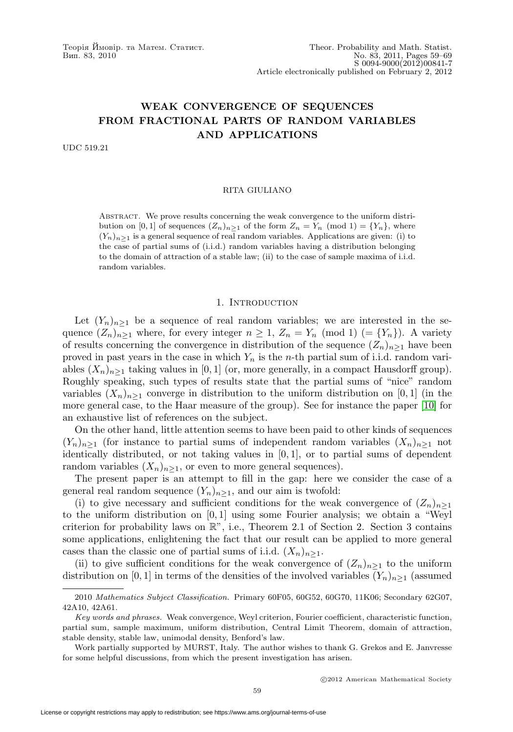# **WEAK CONVERGENCE OF SEQUENCES FROM FRACTIONAL PARTS OF RANDOM VARIABLES AND APPLICATIONS**

UDC 519.21

#### RITA GIULIANO

Abstract. We prove results concerning the weak convergence to the uniform distribution on [0, 1] of sequences  $(Z_n)_{n>1}$  of the form  $Z_n = Y_n \pmod{1} = \{Y_n\}$ , where  $(Y_n)_{n>1}$  is a general sequence of real random variables. Applications are given: (i) to the case of partial sums of (i.i.d.) random variables having a distribution belonging to the domain of attraction of a stable law; (ii) to the case of sample maxima of i.i.d. random variables.

#### 1. INTRODUCTION

Let  $(Y_n)_{n\geq 1}$  be a sequence of real random variables; we are interested in the sequence  $(Z_n)_{n\geq 1}$  where, for every integer  $n \geq 1$ ,  $Z_n = Y_n \pmod{1}$  (=  $\{Y_n\}$ ). A variety of results concerning the convergence in distribution of the sequence  $(Z_n)_{n\geq 1}$  have been proved in past years in the case in which  $Y_n$  is the n-th partial sum of i.i.d. random variables  $(X_n)_{n>1}$  taking values in [0, 1] (or, more generally, in a compact Hausdorff group). Roughly speaking, such types of results state that the partial sums of "nice" random variables  $(X_n)_{n>1}$  converge in distribution to the uniform distribution on [0, 1] (in the more general case, to the Haar measure of the group). See for instance the paper [\[10\]](#page-9-0) for an exhaustive list of references on the subject.

On the other hand, little attention seems to have been paid to other kinds of sequences  $(Y_n)_{n>1}$  (for instance to partial sums of independent random variables  $(X_n)_{n>1}$  not identically distributed, or not taking values in  $[0, 1]$ , or to partial sums of dependent random variables  $(X_n)_{n>1}$ , or even to more general sequences).

The present paper is an attempt to fill in the gap: here we consider the case of a general real random sequence  $(Y_n)_{n\geq 1}$ , and our aim is twofold:

(i) to give necessary and sufficient conditions for the weak convergence of  $(Z_n)_{n>1}$ to the uniform distribution on  $[0, 1]$  using some Fourier analysis; we obtain a "Weyl criterion for probability laws on  $\mathbb{R}^n$ , i.e., Theorem 2.1 of Section 2. Section 3 contains some applications, enlightening the fact that our result can be applied to more general cases than the classic one of partial sums of i.i.d.  $(X_n)_{n\geq 1}$ .

(ii) to give sufficient conditions for the weak convergence of  $(Z_n)_{n>1}$  to the uniform distribution on [0, 1] in terms of the densities of the involved variables  $(Y_n)_{n>1}$  (assumed

<sup>2010</sup> Mathematics Subject Classification. Primary 60F05, 60G52, 60G70, 11K06; Secondary 62G07, 42A10, 42A61.

Key words and phrases. Weak convergence, Weyl criterion, Fourier coefficient, characteristic function, partial sum, sample maximum, uniform distribution, Central Limit Theorem, domain of attraction, stable density, stable law, unimodal density, Benford's law.

Work partially supported by MURST, Italy. The author wishes to thank G. Grekos and E. Janvresse for some helpful discussions, from which the present investigation has arisen.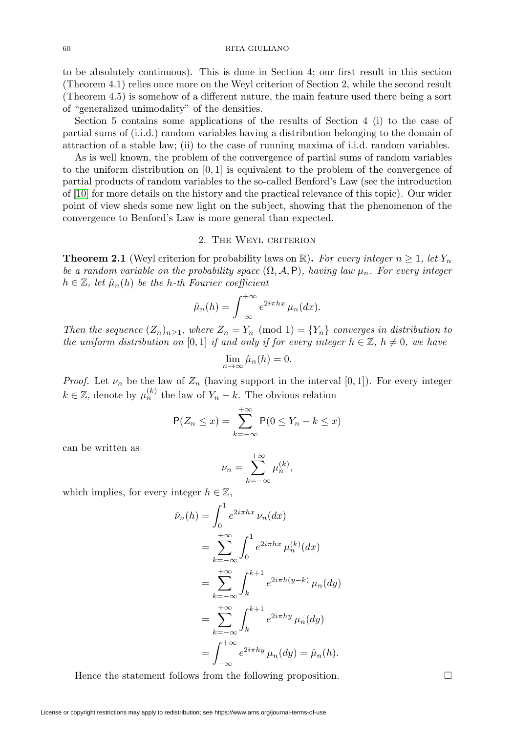#### 60 RITA GIULIANO

to be absolutely continuous). This is done in Section 4; our first result in this section (Theorem 4.1) relies once more on the Weyl criterion of Section 2, while the second result (Theorem 4.5) is somehow of a different nature, the main feature used there being a sort of "generalized unimodality" of the densities.

Section 5 contains some applications of the results of Section 4 (i) to the case of partial sums of (i.i.d.) random variables having a distribution belonging to the domain of attraction of a stable law; (ii) to the case of running maxima of i.i.d. random variables.

As is well known, the problem of the convergence of partial sums of random variables to the uniform distribution on  $[0, 1]$  is equivalent to the problem of the convergence of partial products of random variables to the so-called Benford's Law (see the introduction of [\[10\]](#page-9-0) for more details on the history and the practical relevance of this topic). Our wider point of view sheds some new light on the subject, showing that the phenomenon of the convergence to Benford's Law is more general than expected.

## 2. The Weyl criterion

**Theorem 2.1** (Weyl criterion for probability laws on  $\mathbb{R}$ ). For every integer  $n \geq 1$ , let Y<sub>n</sub> be a random variable on the probability space  $(\Omega, \mathcal{A}, P)$ , having law  $\mu_n$ . For every integer  $h \in \mathbb{Z}$ , let  $\hat{\mu}_n(h)$  be the h-th Fourier coefficient

$$
\hat{\mu}_n(h) = \int_{-\infty}^{+\infty} e^{2i\pi hx} \mu_n(dx).
$$

Then the sequence  $(Z_n)_{n\geq 1}$ , where  $Z_n = Y_n \pmod{1} = \{Y_n\}$  converges in distribution to the uniform distribution on [0, 1] if and only if for every integer  $h \in \mathbb{Z}$ ,  $h \neq 0$ , we have

$$
\lim_{n \to \infty} \hat{\mu}_n(h) = 0.
$$

*Proof.* Let  $\nu_n$  be the law of  $Z_n$  (having support in the interval [0, 1]). For every integer  $k \in \mathbb{Z}$ , denote by  $\mu_n^{(k)}$  the law of  $Y_n - k$ . The obvious relation

$$
\mathsf{P}(Z_n \le x) = \sum_{k=-\infty}^{+\infty} \mathsf{P}(0 \le Y_n - k \le x)
$$

can be written as

$$
\nu_n = \sum_{k=-\infty}^{+\infty} \mu_n^{(k)},
$$

which implies, for every integer  $h \in \mathbb{Z}$ ,

$$
\hat{\nu}_n(h) = \int_0^1 e^{2i\pi hx} \nu_n(dx)
$$
  
\n
$$
= \sum_{k=-\infty}^{+\infty} \int_0^1 e^{2i\pi hx} \mu_n^{(k)}(dx)
$$
  
\n
$$
= \sum_{k=-\infty}^{+\infty} \int_k^{k+1} e^{2i\pi h(y-k)} \mu_n(dy)
$$
  
\n
$$
= \sum_{k=-\infty}^{+\infty} \int_k^{k+1} e^{2i\pi hy} \mu_n(dy)
$$
  
\n
$$
= \int_{-\infty}^{+\infty} e^{2i\pi hy} \mu_n(dy) = \hat{\mu}_n(h).
$$

Hence the statement follows from the following proposition.

 $\Box$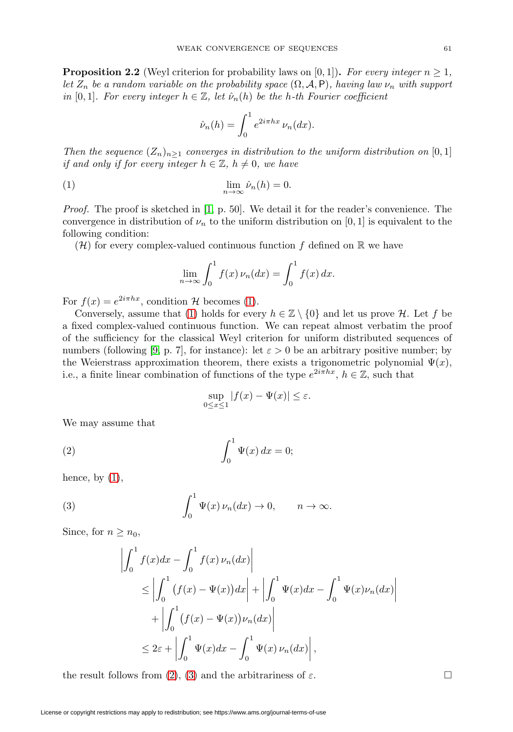**Proposition 2.2** (Weyl criterion for probability laws on [0, 1]). For every integer  $n \geq 1$ , let  $Z_n$  be a random variable on the probability space  $(\Omega, \mathcal{A}, P)$ , having law  $\nu_n$  with support in [0, 1]. For every integer  $h \in \mathbb{Z}$ , let  $\hat{\nu}_n(h)$  be the h-th Fourier coefficient

$$
\hat{\nu}_n(h) = \int_0^1 e^{2i\pi hx} \,\nu_n(dx).
$$

Then the sequence  $(Z_n)_{n>1}$  converges in distribution to the uniform distribution on [0, 1] if and only if for every integer  $h \in \mathbb{Z}$ ,  $h \neq 0$ , we have

<span id="page-2-0"></span>(1) 
$$
\lim_{n \to \infty} \hat{\nu}_n(h) = 0.
$$

Proof. The proof is sketched in [\[1,](#page-9-1) p. 50]. We detail it for the reader's convenience. The convergence in distribution of  $\nu_n$  to the uniform distribution on [0, 1] is equivalent to the following condition:

 $(\mathcal{H})$  for every complex-valued continuous function f defined on  $\mathbb R$  we have

$$
\lim_{n \to \infty} \int_0^1 f(x) \nu_n(dx) = \int_0^1 f(x) dx.
$$

For  $f(x) = e^{2i\pi hx}$ , condition H becomes [\(1\)](#page-2-0).

Conversely, assume that [\(1\)](#page-2-0) holds for every  $h \in \mathbb{Z} \setminus \{0\}$  and let us prove H. Let f be a fixed complex-valued continuous function. We can repeat almost verbatim the proof of the sufficiency for the classical Weyl criterion for uniform distributed sequences of numbers (following [\[9,](#page-9-2) p. 7], for instance): let  $\varepsilon > 0$  be an arbitrary positive number; by the Weierstrass approximation theorem, there exists a trigonometric polynomial  $\Psi(x)$ , i.e., a finite linear combination of functions of the type  $e^{2i\pi hx}$ ,  $h \in \mathbb{Z}$ , such that

$$
\sup_{0 \le x \le 1} |f(x) - \Psi(x)| \le \varepsilon.
$$

We may assume that

<span id="page-2-1"></span>(2) 
$$
\int_0^1 \Psi(x) dx = 0;
$$

hence, by  $(1)$ ,

<span id="page-2-2"></span>(3) 
$$
\int_0^1 \Psi(x) \, \nu_n(dx) \to 0, \qquad n \to \infty.
$$

Since, for  $n \geq n_0$ ,

$$
\left| \int_0^1 f(x) dx - \int_0^1 f(x) \nu_n(dx) \right|
$$
  
\n
$$
\leq \left| \int_0^1 (f(x) - \Psi(x)) dx \right| + \left| \int_0^1 \Psi(x) dx - \int_0^1 \Psi(x) \nu_n(dx) \right|
$$
  
\n
$$
+ \left| \int_0^1 (f(x) - \Psi(x)) \nu_n(dx) \right|
$$
  
\n
$$
\leq 2\varepsilon + \left| \int_0^1 \Psi(x) dx - \int_0^1 \Psi(x) \nu_n(dx) \right|,
$$

the result follows from [\(2\)](#page-2-1), [\(3\)](#page-2-2) and the arbitrariness of  $\varepsilon$ .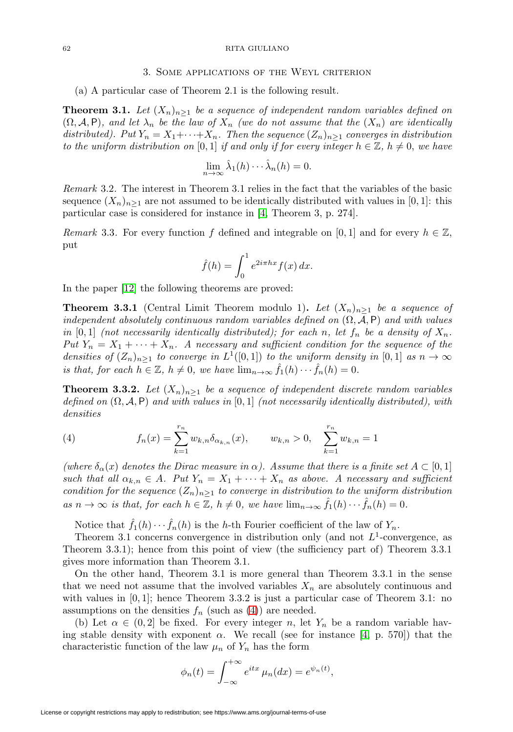#### 62 RITA GIULIANO

#### 3. Some applications of the Weyl criterion

(a) A particular case of Theorem 2.1 is the following result.

<span id="page-3-1"></span>**Theorem 3.1.** Let  $(X_n)_{n\geq 1}$  be a sequence of independent random variables defined on  $(\Omega, \mathcal{A}, P)$ , and let  $\lambda_n$  be the law of  $X_n$  (we do not assume that the  $(X_n)$  are identically distributed). Put  $Y_n = X_1 + \cdots + X_n$ . Then the sequence  $(Z_n)_{n>1}$  converges in distribution to the uniform distribution on [0, 1] if and only if for every integer  $h \in \mathbb{Z}$ ,  $h \neq 0$ , we have

$$
\lim_{n \to \infty} \hat{\lambda}_1(h) \cdots \hat{\lambda}_n(h) = 0.
$$

Remark 3.2. The interest in Theorem 3.1 relies in the fact that the variables of the basic sequence  $(X_n)_{n>1}$  are not assumed to be identically distributed with values in [0, 1]: this particular case is considered for instance in [\[4,](#page-9-3) Theorem 3, p. 274].

Remark 3.3. For every function f defined and integrable on [0, 1] and for every  $h \in \mathbb{Z}$ , put

$$
\hat{f}(h) = \int_0^1 e^{2i\pi hx} f(x) dx.
$$

In the paper [\[12\]](#page-9-4) the following theorems are proved:

**Theorem 3.3.1** (Central Limit Theorem modulo 1). Let  $(X_n)_{n>1}$  be a sequence of independent absolutely continuous random variables defined on  $(\Omega, \mathcal{A}, P)$  and with values in [0,1] (not necessarily identically distributed); for each n, let  $f_n$  be a density of  $X_n$ . Put  $Y_n = X_1 + \cdots + X_n$ . A necessary and sufficient condition for the sequence of the densities of  $(Z_n)_{n>1}$  to converge in  $L^1([0,1])$  to the uniform density in  $[0,1]$  as  $n \to \infty$ is that, for each  $h \in \mathbb{Z}$ ,  $h \neq 0$ , we have  $\lim_{n \to \infty} \hat{f}_1(h) \cdots \hat{f}_n(h) = 0$ .

**Theorem 3.3.2.** Let  $(X_n)_{n>1}$  be a sequence of independent discrete random variables defined on  $(\Omega, \mathcal{A}, P)$  and with values in  $[0, 1]$  (not necessarily identically distributed), with densities

<span id="page-3-0"></span>(4) 
$$
f_n(x) = \sum_{k=1}^{r_n} w_{k,n} \delta_{\alpha_{k,n}}(x), \qquad w_{k,n} > 0, \quad \sum_{k=1}^{r_n} w_{k,n} = 1
$$

(where  $\delta_{\alpha}(x)$  denotes the Dirac measure in  $\alpha$ ). Assume that there is a finite set  $A \subset [0,1]$ such that all  $\alpha_{k,n} \in A$ . Put  $Y_n = X_1 + \cdots + X_n$  as above. A necessary and sufficient condition for the sequence  $(Z_n)_{n>1}$  to converge in distribution to the uniform distribution as  $n \to \infty$  is that, for each  $h \in \mathbb{Z}$ ,  $h \neq 0$ , we have  $\lim_{n \to \infty} f_1(h) \cdots f_n(h) = 0$ .

Notice that  $\hat{f}_1(h) \cdots \hat{f}_n(h)$  is the h-th Fourier coefficient of the law of  $Y_n$ .

Theorem 3.1 concerns convergence in distribution only (and not  $L^1$ -convergence, as Theorem 3.3.1); hence from this point of view (the sufficiency part of) Theorem 3.3.1 gives more information than Theorem 3.1.

On the other hand, Theorem 3.1 is more general than Theorem 3.3.1 in the sense that we need not assume that the involved variables  $X_n$  are absolutely continuous and with values in  $[0, 1]$ ; hence Theorem 3.3.2 is just a particular case of Theorem 3.1: no assumptions on the densities  $f_n$  (such as [\(4\)](#page-3-0)) are needed.

(b) Let  $\alpha \in (0,2]$  be fixed. For every integer n, let  $Y_n$  be a random variable having stable density with exponent  $\alpha$ . We recall (see for instance [\[4,](#page-9-3) p. 570]) that the characteristic function of the law  $\mu_n$  of  $Y_n$  has the form

$$
\phi_n(t) = \int_{-\infty}^{+\infty} e^{itx} \mu_n(dx) = e^{\psi_n(t)},
$$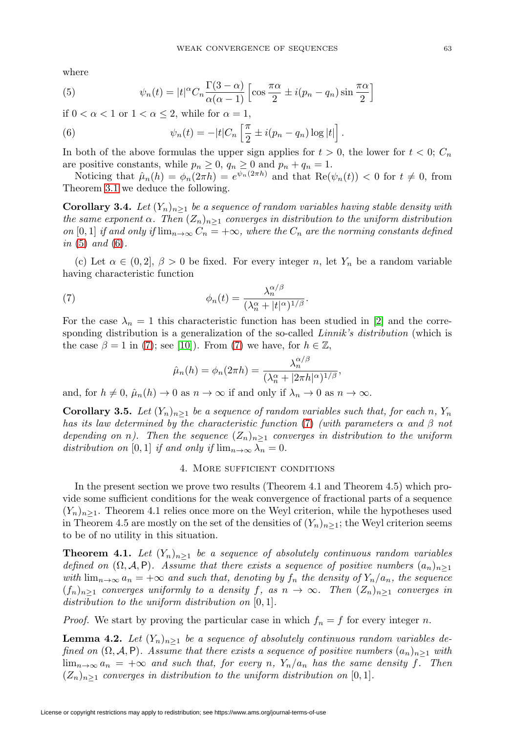where

<span id="page-4-0"></span>(5) 
$$
\psi_n(t) = |t|^{\alpha} C_n \frac{\Gamma(3-\alpha)}{\alpha(\alpha-1)} \left[ \cos \frac{\pi \alpha}{2} \pm i(p_n - q_n) \sin \frac{\pi \alpha}{2} \right]
$$

if  $0 < \alpha < 1$  or  $1 < \alpha \leq 2$ , while for  $\alpha = 1$ ,

<span id="page-4-1"></span>(6) 
$$
\psi_n(t) = -|t| C_n \left[ \frac{\pi}{2} \pm i(p_n - q_n) \log |t| \right].
$$

In both of the above formulas the upper sign applies for  $t > 0$ , the lower for  $t < 0$ ;  $C_n$ are positive constants, while  $p_n \geq 0$ ,  $q_n \geq 0$  and  $p_n + q_n = 1$ .

Noticing that  $\hat{\mu}_n(h) = \phi_n(2\pi h) = e^{\psi_n(2\pi h)}$  and that  $\text{Re}(\psi_n(t)) < 0$  for  $t \neq 0$ , from Theorem [3.1](#page-3-1) we deduce the following.

**Corollary 3.4.** Let  $(Y_n)_{n>1}$  be a sequence of random variables having stable density with the same exponent  $\alpha$ . Then  $(Z_n)_{n\geq 1}$  converges in distribution to the uniform distribution on [0, 1] if and only if  $\lim_{n\to\infty} C_n = +\infty$ , where the  $C_n$  are the norming constants defined in  $(5)$  and  $(6)$ .

(c) Let  $\alpha \in (0, 2], \beta > 0$  be fixed. For every integer n, let  $Y_n$  be a random variable having characteristic function

<span id="page-4-2"></span>(7) 
$$
\phi_n(t) = \frac{\lambda_n^{\alpha/\beta}}{(\lambda_n^{\alpha} + |t|^{\alpha})^{1/\beta}}.
$$

For the case  $\lambda_n = 1$  this characteristic function has been studied in [\[2\]](#page-9-5) and the corresponding distribution is a generalization of the so-called *Linnik's distribution* (which is the case  $\beta = 1$  in [\(7\)](#page-4-2); see [\[10\]](#page-9-0)). From (7) we have, for  $h \in \mathbb{Z}$ ,

$$
\hat{\mu}_n(h) = \phi_n(2\pi h) = \frac{\lambda_n^{\alpha/\beta}}{(\lambda_n^{\alpha} + |2\pi h|^{\alpha})^{1/\beta}},
$$

and, for  $h \neq 0$ ,  $\hat{\mu}_n(h) \to 0$  as  $n \to \infty$  if and only if  $\lambda_n \to 0$  as  $n \to \infty$ .

**Corollary 3.5.** Let  $(Y_n)_{n\geq 1}$  be a sequence of random variables such that, for each n,  $Y_n$ has its law determined by the characteristic function [\(7\)](#page-4-2) (with parameters  $\alpha$  and  $\beta$  not depending on n). Then the sequence  $(Z_n)_{n\geq 1}$  converges in distribution to the uniform distribution on [0, 1] if and only if  $\lim_{n\to\infty}\lambda_n=0$ .

#### 4. More sufficient conditions

In the present section we prove two results (Theorem 4.1 and Theorem 4.5) which provide some sufficient conditions for the weak convergence of fractional parts of a sequence  $(Y_n)_{n\geq 1}$ . Theorem 4.1 relies once more on the Weyl criterion, while the hypotheses used in Theorem 4.5 are mostly on the set of the densities of  $(Y_n)_{n\geq 1}$ ; the Weyl criterion seems to be of no utility in this situation.

**Theorem 4.1.** Let  $(Y_n)_{n>1}$  be a sequence of absolutely continuous random variables defined on  $(\Omega, \mathcal{A}, P)$ . Assume that there exists a sequence of positive numbers  $(a_n)_{n>1}$ with  $\lim_{n\to\infty} a_n = +\infty$  and such that, denoting by  $f_n$  the density of  $Y_n/a_n$ , the sequence  $(f_n)_{n>1}$  converges uniformly to a density f, as  $n \to \infty$ . Then  $(Z_n)_{n>1}$  converges in distribution to the uniform distribution on [0, 1].

*Proof.* We start by proving the particular case in which  $f_n = f$  for every integer n.

**Lemma 4.2.** Let  $(Y_n)_{n>1}$  be a sequence of absolutely continuous random variables defined on  $(\Omega, \mathcal{A}, P)$ . Assume that there exists a sequence of positive numbers  $(a_n)_{n>1}$  with  $\lim_{n\to\infty} a_n = +\infty$  and such that, for every n,  $Y_n/a_n$  has the same density f. Then  $(Z_n)_{n\geq 1}$  converges in distribution to the uniform distribution on [0, 1].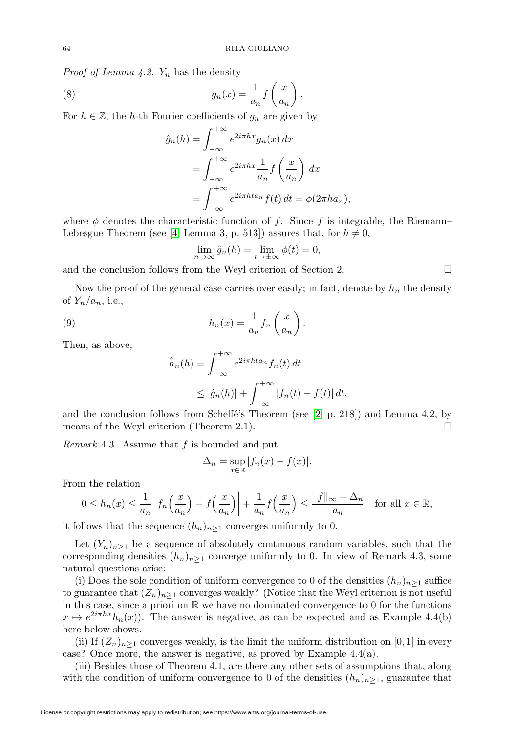*Proof of Lemma 4.2.*  $Y_n$  has the density

(8) 
$$
g_n(x) = \frac{1}{a_n} f\left(\frac{x}{a_n}\right).
$$

For  $h \in \mathbb{Z}$ , the h-th Fourier coefficients of  $g_n$  are given by

$$
\hat{g}_n(h) = \int_{-\infty}^{+\infty} e^{2i\pi hx} g_n(x) dx
$$

$$
= \int_{-\infty}^{+\infty} e^{2i\pi hx} \frac{1}{a_n} f\left(\frac{x}{a_n}\right) dx
$$

$$
= \int_{-\infty}^{+\infty} e^{2i\pi h t a_n} f(t) dt = \phi(2\pi h a_n),
$$

where  $\phi$  denotes the characteristic function of f. Since f is integrable, the Riemann– Lebesgue Theorem (see [\[4,](#page-9-3) Lemma 3, p. 513]) assures that, for  $h \neq 0$ ,

$$
\lim_{n \to \infty} \hat{g}_n(h) = \lim_{t \to \pm \infty} \phi(t) = 0,
$$

and the conclusion follows from the Weyl criterion of Section 2.  $\Box$ 

Now the proof of the general case carries over easily; in fact, denote by  $h_n$  the density of  $Y_n/a_n$ , i.e.,

(9) 
$$
h_n(x) = \frac{1}{a_n} f_n\left(\frac{x}{a_n}\right).
$$

Then, as above,

$$
\hat{h}_n(h) = \int_{-\infty}^{+\infty} e^{2i\pi h t a_n} f_n(t) dt
$$
  

$$
\leq |\hat{g}_n(h)| + \int_{-\infty}^{+\infty} |f_n(t) - f(t)| dt,
$$

and the conclusion follows from Scheffé's Theorem (see  $[2, p. 218]$  $[2, p. 218]$ ) and Lemma 4.2, by means of the Weyl criterion (Theorem 2.1).  $\Box$ 

Remark 4.3. Assume that  $f$  is bounded and put

$$
\Delta_n = \sup_{x \in \mathbb{R}} |f_n(x) - f(x)|.
$$

From the relation

$$
0 \le h_n(x) \le \frac{1}{a_n} \left| f_n\left(\frac{x}{a_n}\right) - f\left(\frac{x}{a_n}\right) \right| + \frac{1}{a_n} f\left(\frac{x}{a_n}\right) \le \frac{\|f\|_{\infty} + \Delta_n}{a_n} \quad \text{for all } x \in \mathbb{R},
$$

it follows that the sequence  $(h_n)_{n\geq 1}$  converges uniformly to 0.

Let  $(Y_n)_{n\geq 1}$  be a sequence of absolutely continuous random variables, such that the corresponding densities  $(h_n)_{n>1}$  converge uniformly to 0. In view of Remark 4.3, some natural questions arise:

(i) Does the sole condition of uniform convergence to 0 of the densities  $(h_n)_{n>1}$  suffice to guarantee that  $(Z_n)_{n>1}$  converges weakly? (Notice that the Weyl criterion is not useful in this case, since a priori on  $\mathbb R$  we have no dominated convergence to 0 for the functions  $x \mapsto e^{2i\pi hx}h_n(x)$ . The answer is negative, as can be expected and as Example 4.4(b) here below shows.

(ii) If  $(Z_n)_{n\geq 1}$  converges weakly, is the limit the uniform distribution on [0, 1] in every case? Once more, the answer is negative, as proved by Example 4.4(a).

(iii) Besides those of Theorem 4.1, are there any other sets of assumptions that, along with the condition of uniform convergence to 0 of the densities  $(h_n)_{n\geq 1}$ , guarantee that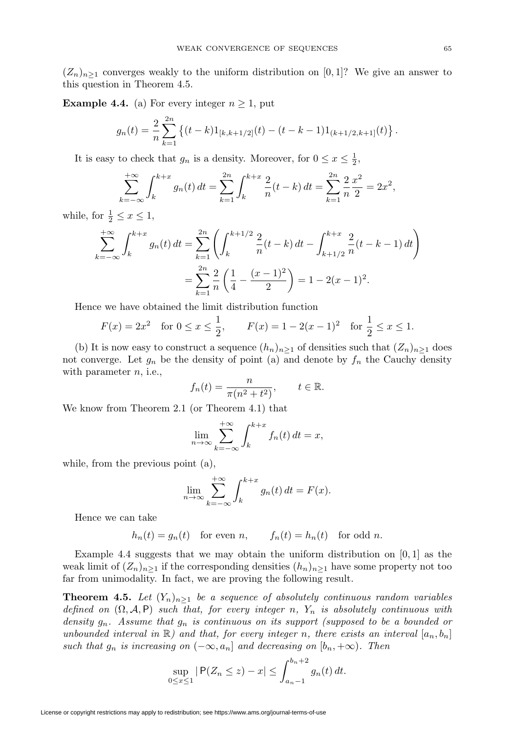$(Z_n)_{n>1}$  converges weakly to the uniform distribution on [0, 1]? We give an answer to this question in Theorem 4.5.

**Example 4.4.** (a) For every integer  $n \geq 1$ , put

$$
g_n(t) = \frac{2}{n} \sum_{k=1}^{2n} \left\{ (t-k) 1_{[k,k+1/2]}(t) - (t-k-1) 1_{(k+1/2,k+1]}(t) \right\}.
$$

It is easy to check that  $g_n$  is a density. Moreover, for  $0 \le x \le \frac{1}{2}$ ,

$$
\sum_{k=-\infty}^{+\infty} \int_{k}^{k+x} g_n(t) dt = \sum_{k=1}^{2n} \int_{k}^{k+x} \frac{2}{n} (t-k) dt = \sum_{k=1}^{2n} \frac{2}{n} \frac{x^2}{2} = 2x^2,
$$

while, for  $\frac{1}{2} \leq x \leq 1$ ,

$$
\sum_{k=-\infty}^{+\infty} \int_{k}^{k+x} g_n(t) dt = \sum_{k=1}^{2n} \left( \int_{k}^{k+1/2} \frac{2}{n} (t-k) dt - \int_{k+1/2}^{k+x} \frac{2}{n} (t-k-1) dt \right)
$$

$$
= \sum_{k=1}^{2n} \frac{2}{n} \left( \frac{1}{4} - \frac{(x-1)^2}{2} \right) = 1 - 2(x-1)^2.
$$

Hence we have obtained the limit distribution function

$$
F(x) = 2x^2
$$
 for  $0 \le x \le \frac{1}{2}$ ,  $F(x) = 1 - 2(x - 1)^2$  for  $\frac{1}{2} \le x \le 1$ .

(b) It is now easy to construct a sequence  $(h_n)_{n>1}$  of densities such that  $(Z_n)_{n>1}$  does not converge. Let  $g_n$  be the density of point (a) and denote by  $f_n$  the Cauchy density with parameter  $n$ , i.e.,

$$
f_n(t) = \frac{n}{\pi(n^2 + t^2)}, \qquad t \in \mathbb{R}.
$$

We know from Theorem 2.1 (or Theorem 4.1) that

$$
\lim_{n \to \infty} \sum_{k=-\infty}^{+\infty} \int_{k}^{k+x} f_n(t) dt = x,
$$

while, from the previous point (a),

$$
\lim_{n \to \infty} \sum_{k=-\infty}^{+\infty} \int_{k}^{k+x} g_n(t) dt = F(x).
$$

Hence we can take

 $h_n(t) = g_n(t)$  for even n,  $f_n(t) = h_n(t)$  for odd n.

Example 4.4 suggests that we may obtain the uniform distribution on  $[0, 1]$  as the weak limit of  $(Z_n)_{n>1}$  if the corresponding densities  $(h_n)_{n>1}$  have some property not too far from unimodality. In fact, we are proving the following result.

**Theorem 4.5.** Let  $(Y_n)_{n>1}$  be a sequence of absolutely continuous random variables defined on  $(\Omega, \mathcal{A}, P)$  such that, for every integer n, Y<sub>n</sub> is absolutely continuous with density  $g_n$ . Assume that  $g_n$  is continuous on its support (supposed to be a bounded or unbounded interval in  $\mathbb{R}$ ) and that, for every integer n, there exists an interval  $[a_n, b_n]$ such that  $g_n$  is increasing on  $(-\infty, a_n]$  and decreasing on  $[b_n, +\infty)$ . Then

$$
\sup_{0 \le x \le 1} |P(Z_n \le z) - x| \le \int_{a_n - 1}^{b_n + 2} g_n(t) dt.
$$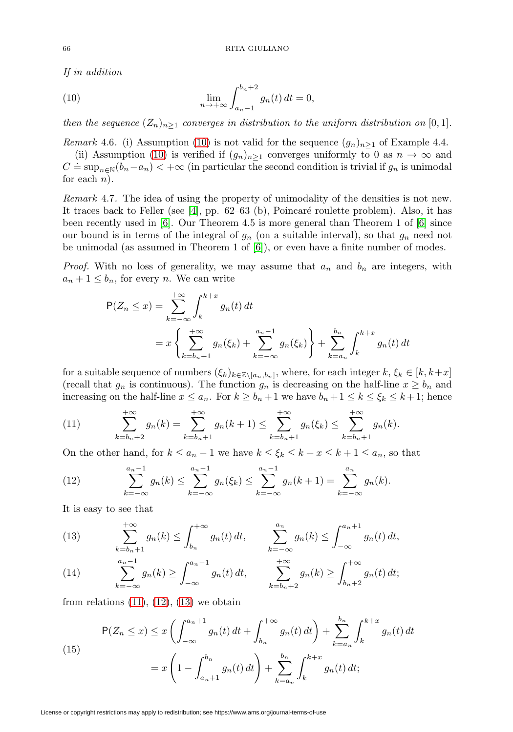If in addition

for each  $n$ ).

<span id="page-7-0"></span>(10) 
$$
\lim_{n \to +\infty} \int_{a_n-1}^{b_n+2} g_n(t) dt = 0,
$$

then the sequence  $(Z_n)_{n\geq 1}$  converges in distribution to the uniform distribution on [0,1].

Remark 4.6. (i) Assumption [\(10\)](#page-7-0) is not valid for the sequence  $(g_n)_{n>1}$  of Example 4.4. (ii) Assumption [\(10\)](#page-7-0) is verified if  $(g_n)_{n>1}$  converges uniformly to 0 as  $n \to \infty$  and  $C = \sup_{n \in \mathbb{N}} (b_n - a_n) < +\infty$  (in particular the second condition is trivial if  $g_n$  is unimodal

Remark 4.7. The idea of using the property of unimodality of the densities is not new. It traces back to Feller (see  $[4]$ , pp. 62–63 (b), Poincaré roulette problem). Also, it has been recently used in [\[6\]](#page-9-6). Our Theorem 4.5 is more general than Theorem 1 of [6] since our bound is in terms of the integral of  $g_n$  (on a suitable interval), so that  $g_n$  need not be unimodal (as assumed in Theorem 1 of [\[6\]](#page-9-6)), or even have a finite number of modes.

*Proof.* With no loss of generality, we may assume that  $a_n$  and  $b_n$  are integers, with  $a_n + 1 \leq b_n$ , for every *n*. We can write

$$
P(Z_n \le x) = \sum_{k=-\infty}^{+\infty} \int_k^{k+x} g_n(t) dt
$$
  
=  $x \left\{ \sum_{k=b_n+1}^{+\infty} g_n(\xi_k) + \sum_{k=-\infty}^{a_n-1} g_n(\xi_k) \right\} + \sum_{k=a_n}^{b_n} \int_k^{k+x} g_n(t) dt$ 

for a suitable sequence of numbers  $(\xi_k)_{k \in \mathbb{Z} \setminus [a_n,b_n]}$ , where, for each integer  $k, \xi_k \in [k, k+x]$ (recall that  $g_n$  is continuous). The function  $g_n$  is decreasing on the half-line  $x \geq b_n$  and increasing on the half-line  $x \le a_n$ . For  $k \ge b_n + 1$  we have  $b_n + 1 \le k \le \xi_k \le k + 1$ ; hence

<span id="page-7-1"></span>(11) 
$$
\sum_{k=b_n+2}^{+\infty} g_n(k) = \sum_{k=b_n+1}^{+\infty} g_n(k+1) \leq \sum_{k=b_n+1}^{+\infty} g_n(\xi_k) \leq \sum_{k=b_n+1}^{+\infty} g_n(k).
$$

On the other hand, for  $k \le a_n - 1$  we have  $k \le \xi_k \le k + x \le k + 1 \le a_n$ , so that

<span id="page-7-2"></span>(12) 
$$
\sum_{k=-\infty}^{a_n-1} g_n(k) \leq \sum_{k=-\infty}^{a_n-1} g_n(\xi_k) \leq \sum_{k=-\infty}^{a_n-1} g_n(k+1) = \sum_{k=-\infty}^{a_n} g_n(k).
$$

It is easy to see that

<span id="page-7-3"></span>(13) 
$$
\sum_{k=b_n+1}^{+\infty} g_n(k) \le \int_{b_n}^{+\infty} g_n(t) dt, \qquad \sum_{k=-\infty}^{a_n} g_n(k) \le \int_{-\infty}^{a_n+1} g_n(t) dt,
$$

<span id="page-7-4"></span>(14) 
$$
\sum_{k=-\infty}^{a_n-1} g_n(k) \ge \int_{-\infty}^{a_n-1} g_n(t) dt, \qquad \sum_{k=b_n+2}^{+\infty} g_n(k) \ge \int_{b_n+2}^{+\infty} g_n(t) dt;
$$

from relations  $(11)$ ,  $(12)$ ,  $(13)$  we obtain

<span id="page-7-5"></span>(15)  

$$
P(Z_n \le x) \le x \left( \int_{-\infty}^{a_n+1} g_n(t) dt + \int_{b_n}^{+\infty} g_n(t) dt \right) + \sum_{k=a_n}^{b_n} \int_{k}^{k+x} g_n(t) dt
$$

$$
= x \left( 1 - \int_{a_n+1}^{b_n} g_n(t) dt \right) + \sum_{k=a_n}^{b_n} \int_{k}^{k+x} g_n(t) dt;
$$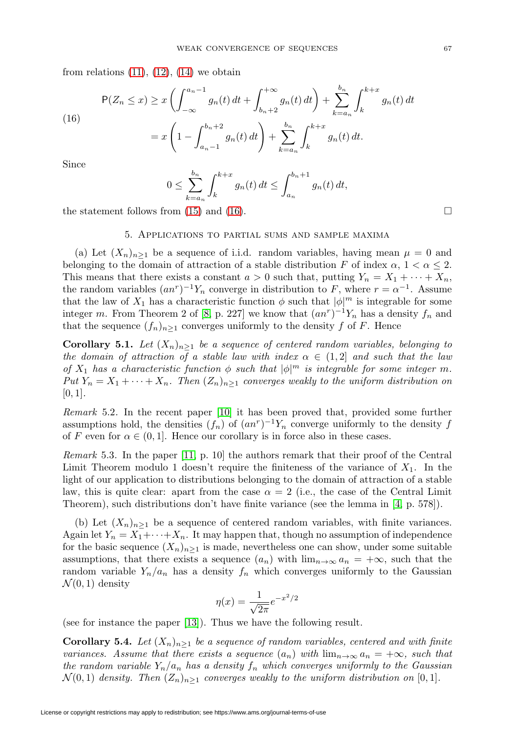from relations  $(11)$ ,  $(12)$ ,  $(14)$  we obtain

<span id="page-8-0"></span>(16)  

$$
P(Z_n \le x) \ge x \left( \int_{-\infty}^{a_n - 1} g_n(t) dt + \int_{b_n + 2}^{+\infty} g_n(t) dt \right) + \sum_{k = a_n}^{b_n} \int_{k}^{k + x} g_n(t) dt
$$

$$
= x \left( 1 - \int_{a_n - 1}^{b_n + 2} g_n(t) dt \right) + \sum_{k = a_n}^{b_n} \int_{k}^{k + x} g_n(t) dt.
$$

Since

$$
0 \le \sum_{k=a_n}^{b_n} \int_k^{k+x} g_n(t) dt \le \int_{a_n}^{b_n+1} g_n(t) dt,
$$

the statement follows from [\(15\)](#page-7-5) and [\(16\)](#page-8-0).  $\Box$ 

### 5. Applications to partial sums and sample maxima

(a) Let  $(X_n)_{n\geq 1}$  be a sequence of i.i.d. random variables, having mean  $\mu = 0$  and belonging to the domain of attraction of a stable distribution F of index  $\alpha$ ,  $1 < \alpha \leq 2$ . This means that there exists a constant  $a > 0$  such that, putting  $Y_n = X_1 + \cdots + X_n$ , the random variables  $(an^r)^{-1}Y_n$  converge in distribution to F, where  $r = \alpha^{-1}$ . Assume that the law of  $X_1$  has a characteristic function  $\phi$  such that  $|\phi|^m$  is integrable for some integer m. From Theorem 2 of [\[8,](#page-9-7) p. 227] we know that  $(an<sup>r</sup>)<sup>-1</sup>Y<sub>n</sub>$  has a density  $f<sub>n</sub>$  and that the sequence  $(f_n)_{n\geq 1}$  converges uniformly to the density f of F. Hence

**Corollary 5.1.** Let  $(X_n)_{n>1}$  be a sequence of centered random variables, belonging to the domain of attraction of a stable law with index  $\alpha \in (1,2]$  and such that the law of  $X_1$  has a characteristic function  $\phi$  such that  $|\phi|^m$  is integrable for some integer m. Put  $Y_n = X_1 + \cdots + X_n$ . Then  $(Z_n)_{n>1}$  converges weakly to the uniform distribution on  $[0, 1]$ .

Remark 5.2. In the recent paper [\[10\]](#page-9-0) it has been proved that, provided some further assumptions hold, the densities  $(f_n)$  of  $(an<sup>r</sup>)<sup>-1</sup>Y<sub>n</sub>$  converge uniformly to the density f of F even for  $\alpha \in (0,1]$ . Hence our corollary is in force also in these cases.

Remark 5.3. In the paper [\[11,](#page-9-8) p. 10] the authors remark that their proof of the Central Limit Theorem modulo 1 doesn't require the finiteness of the variance of  $X_1$ . In the light of our application to distributions belonging to the domain of attraction of a stable law, this is quite clear: apart from the case  $\alpha = 2$  (i.e., the case of the Central Limit Theorem), such distributions don't have finite variance (see the lemma in [\[4,](#page-9-3) p. 578]).

(b) Let  $(X_n)_{n>1}$  be a sequence of centered random variables, with finite variances. Again let  $Y_n = X_1 + \cdots + X_n$ . It may happen that, though no assumption of independence for the basic sequence  $(X_n)_{n>1}$  is made, nevertheless one can show, under some suitable assumptions, that there exists a sequence  $(a_n)$  with  $\lim_{n\to\infty} a_n = +\infty$ , such that the random variable  $Y_n/a_n$  has a density  $f_n$  which converges uniformly to the Gaussian  $\mathcal{N}(0,1)$  density

$$
\eta(x) = \frac{1}{\sqrt{2\pi}} e^{-x^2/2}
$$

(see for instance the paper [\[13\]](#page-10-0)). Thus we have the following result.

**Corollary 5.4.** Let  $(X_n)_{n\geq 1}$  be a sequence of random variables, centered and with finite variances. Assume that there exists a sequence  $(a_n)$  with  $\lim_{n\to\infty} a_n = +\infty$ , such that the random variable  $Y_n/a_n$  has a density  $f_n$  which converges uniformly to the Gaussian  $\mathcal{N}(0,1)$  density. Then  $(Z_n)_{n>1}$  converges weakly to the uniform distribution on [0,1].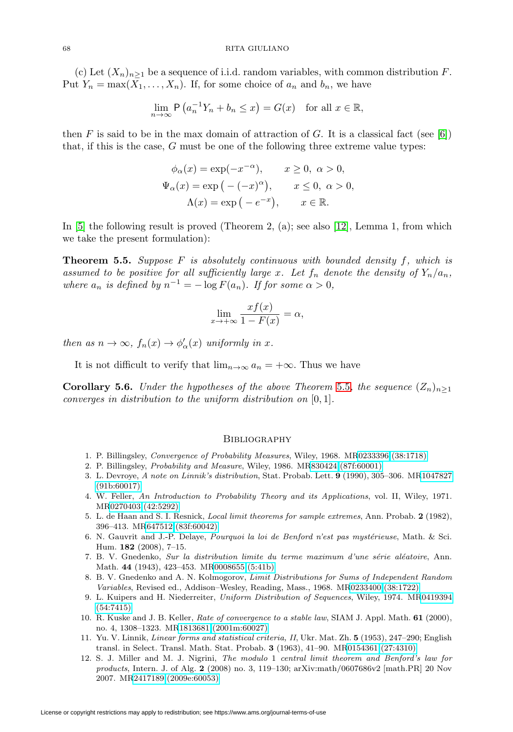(c) Let  $(X_n)_{n\geq 1}$  be a sequence of i.i.d. random variables, with common distribution F. Put  $Y_n = \max(X_1, \ldots, X_n)$ . If, for some choice of  $a_n$  and  $b_n$ , we have

$$
\lim_{n \to \infty} \mathsf{P}\left(a_n^{-1}Y_n + b_n \le x\right) = G(x) \quad \text{for all } x \in \mathbb{R},
$$

then F is said to be in the max domain of attraction of G. It is a classical fact (see [\[6\]](#page-9-6)) that, if this is the case, G must be one of the following three extreme value types:

$$
\phi_{\alpha}(x) = \exp(-x^{-\alpha}), \qquad x \ge 0, \ \alpha > 0,
$$
  

$$
\Psi_{\alpha}(x) = \exp(-(-x)^{\alpha}), \qquad x \le 0, \ \alpha > 0,
$$
  

$$
\Lambda(x) = \exp(-e^{-x}), \qquad x \in \mathbb{R}.
$$

In [\[5\]](#page-9-9) the following result is proved (Theorem 2, (a); see also [\[12\]](#page-9-4), Lemma 1, from which we take the present formulation):

<span id="page-9-10"></span>**Theorem 5.5.** Suppose F is absolutely continuous with bounded density f, which is assumed to be positive for all sufficiently large x. Let  $f_n$  denote the density of  $Y_n/a_n$ , where  $a_n$  is defined by  $n^{-1} = -\log F(a_n)$ . If for some  $\alpha > 0$ ,

$$
\lim_{x \to +\infty} \frac{x f(x)}{1 - F(x)} = \alpha,
$$

then as  $n \to \infty$ ,  $f_n(x) \to \phi'_\alpha(x)$  uniformly in x.

It is not difficult to verify that  $\lim_{n\to\infty} a_n = +\infty$ . Thus we have

**Corollary 5.6.** Under the hypotheses of the above Theorem [5.5](#page-9-10), the sequence  $(Z_n)_{n>1}$ converges in distribution to the uniform distribution on [0, 1].

#### **BIBLIOGRAPHY**

- <span id="page-9-5"></span><span id="page-9-1"></span>1. P. Billingsley, Convergence of Probability Measures, Wiley, 1968. M[R0233396 \(38:1718\)](http://www.ams.org/mathscinet-getitem?mr=0233396)
- 2. P. Billingsley, Probability and Measure, Wiley, 1986. M[R830424 \(87f:60001\)](http://www.ams.org/mathscinet-getitem?mr=830424)
- 3. L. Devroye, A note on Linnik's distribution, Stat. Probab. Lett. **9** (1990), 305–306. M[R1047827](http://www.ams.org/mathscinet-getitem?mr=1047827) [\(91b:60017\)](http://www.ams.org/mathscinet-getitem?mr=1047827)
- <span id="page-9-3"></span>4. W. Feller, An Introduction to Probability Theory and its Applications, vol. II, Wiley, 1971. M[R0270403 \(42:5292\)](http://www.ams.org/mathscinet-getitem?mr=0270403)
- <span id="page-9-9"></span>5. L. de Haan and S. I. Resnick, Local limit theorems for sample extremes, Ann. Probab. **2** (1982), 396–413. M[R647512 \(83f:60042\)](http://www.ams.org/mathscinet-getitem?mr=647512)
- <span id="page-9-6"></span>6. N. Gauvrit and J.-P. Delaye, Pourquoi la loi de Benford n'est pas mystérieuse, Math. & Sci. Hum. **182** (2008), 7–15.
- 7. B. V. Gnedenko, Sur la distribution limite du terme maximum d'une série aléatoire, Ann. Math. **44** (1943), 423–453. M[R0008655 \(5:41b\)](http://www.ams.org/mathscinet-getitem?mr=0008655)
- <span id="page-9-7"></span>8. B. V. Gnedenko and A. N. Kolmogorov, Limit Distributions for Sums of Independent Random Variables, Revised ed., Addison–Wesley, Reading, Mass., 1968. M[R0233400 \(38:1722\)](http://www.ams.org/mathscinet-getitem?mr=0233400)
- <span id="page-9-2"></span>9. L. Kuipers and H. Niederreiter, Uniform Distribution of Sequences, Wiley, 1974. M[R0419394](http://www.ams.org/mathscinet-getitem?mr=0419394) [\(54:7415\)](http://www.ams.org/mathscinet-getitem?mr=0419394)
- <span id="page-9-0"></span>10. R. Kuske and J. B. Keller, Rate of convergence to a stable law, SIAM J. Appl. Math. **61** (2000), no. 4, 1308–1323. M[R1813681 \(2001m:60027\)](http://www.ams.org/mathscinet-getitem?mr=1813681)
- <span id="page-9-8"></span>11. Yu. V. Linnik, Linear forms and statistical criteria, II, Ukr. Mat. Zh. **5** (1953), 247–290; English transl. in Select. Transl. Math. Stat. Probab. **3** (1963), 41–90. M[R0154361 \(27:4310\)](http://www.ams.org/mathscinet-getitem?mr=0154361)
- <span id="page-9-4"></span>12. S. J. Miller and M. J. Nigrini, The modulo 1 central limit theorem and Benford's law for products, Intern. J. of Alg. **2** (2008) no. 3, 119–130; arXiv:math/0607686v2 [math.PR] 20 Nov 2007. M[R2417189 \(2009e:60053\)](http://www.ams.org/mathscinet-getitem?mr=2417189)